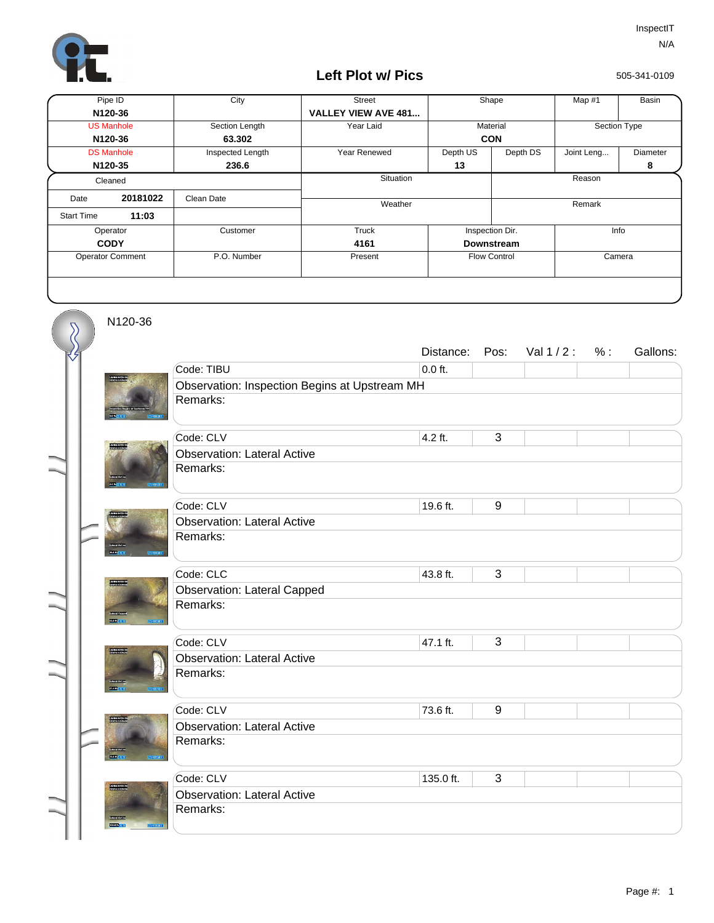

## **Left Plot w/ Pics**

505-341-0109

| Pipe ID                 |          | City             | Street                     | Shape               |          | Map #1       | Basin    |  |
|-------------------------|----------|------------------|----------------------------|---------------------|----------|--------------|----------|--|
| N120-36                 |          |                  | <b>VALLEY VIEW AVE 481</b> |                     |          |              |          |  |
| <b>US Manhole</b>       |          | Section Length   | Year Laid                  | Material            |          | Section Type |          |  |
| N120-36                 |          | 63.302           |                            | <b>CON</b>          |          |              |          |  |
| <b>DS Manhole</b>       |          | Inspected Length | Year Renewed               | Depth US            | Depth DS | Joint Leng   | Diameter |  |
| N120-35                 |          | 236.6            |                            | 13                  |          |              | 8        |  |
| Cleaned                 |          |                  | Situation                  |                     |          | Reason       |          |  |
| Date                    | 20181022 | Clean Date       |                            |                     |          |              |          |  |
| <b>Start Time</b>       | 11:03    |                  | Weather                    |                     |          | Remark       |          |  |
| Operator                |          | Customer         | Truck                      | Inspection Dir.     |          | Info         |          |  |
| <b>CODY</b>             |          |                  | 4161                       | <b>Downstream</b>   |          |              |          |  |
| <b>Operator Comment</b> |          | P.O. Number      | Present                    | <b>Flow Control</b> |          | Camera       |          |  |
|                         |          |                  |                            |                     |          |              |          |  |

N120-36

 $\overline{\mathcal{S}}$ 

|  |              |                                               | Distance: | Pos:  | Val $1/2$ : | % : | Gallons: |  |  |  |
|--|--------------|-----------------------------------------------|-----------|-------|-------------|-----|----------|--|--|--|
|  |              | Code: TIBU                                    | $0.0$ ft. |       |             |     |          |  |  |  |
|  |              | Observation: Inspection Begins at Upstream MH |           |       |             |     |          |  |  |  |
|  |              | Remarks:                                      |           |       |             |     |          |  |  |  |
|  |              |                                               |           |       |             |     |          |  |  |  |
|  |              | Code: CLV                                     | 4.2 ft.   | 3     |             |     |          |  |  |  |
|  |              | <b>Observation: Lateral Active</b>            |           |       |             |     |          |  |  |  |
|  |              | Remarks:                                      |           |       |             |     |          |  |  |  |
|  |              | Code: CLV                                     | 19.6 ft.  | $9\,$ |             |     |          |  |  |  |
|  |              | <b>Observation: Lateral Active</b>            |           |       |             |     |          |  |  |  |
|  |              | Remarks:                                      |           |       |             |     |          |  |  |  |
|  | <b>DOM:</b>  |                                               |           |       |             |     |          |  |  |  |
|  |              | Code: CLC                                     | 43.8 ft.  | 3     |             |     |          |  |  |  |
|  |              | <b>Observation: Lateral Capped</b>            |           |       |             |     |          |  |  |  |
|  | скопости     | Remarks:                                      |           |       |             |     |          |  |  |  |
|  | <b>COLL</b>  |                                               |           |       |             |     |          |  |  |  |
|  |              | Code: CLV                                     | 47.1 ft.  | 3     |             |     |          |  |  |  |
|  |              | <b>Observation: Lateral Active</b>            |           |       |             |     |          |  |  |  |
|  |              | Remarks:                                      |           |       |             |     |          |  |  |  |
|  | var 1        |                                               |           |       |             |     |          |  |  |  |
|  |              | Code: CLV                                     | 73.6 ft.  | 9     |             |     |          |  |  |  |
|  |              | <b>Observation: Lateral Active</b>            |           |       |             |     |          |  |  |  |
|  |              | Remarks:                                      |           |       |             |     |          |  |  |  |
|  | <b>TORES</b> |                                               |           |       |             |     |          |  |  |  |
|  |              | Code: CLV                                     | 135.0 ft. | 3     |             |     |          |  |  |  |
|  |              | <b>Observation: Lateral Active</b>            |           |       |             |     |          |  |  |  |
|  |              | Remarks:                                      |           |       |             |     |          |  |  |  |
|  |              |                                               |           |       |             |     |          |  |  |  |
|  |              |                                               |           |       |             |     |          |  |  |  |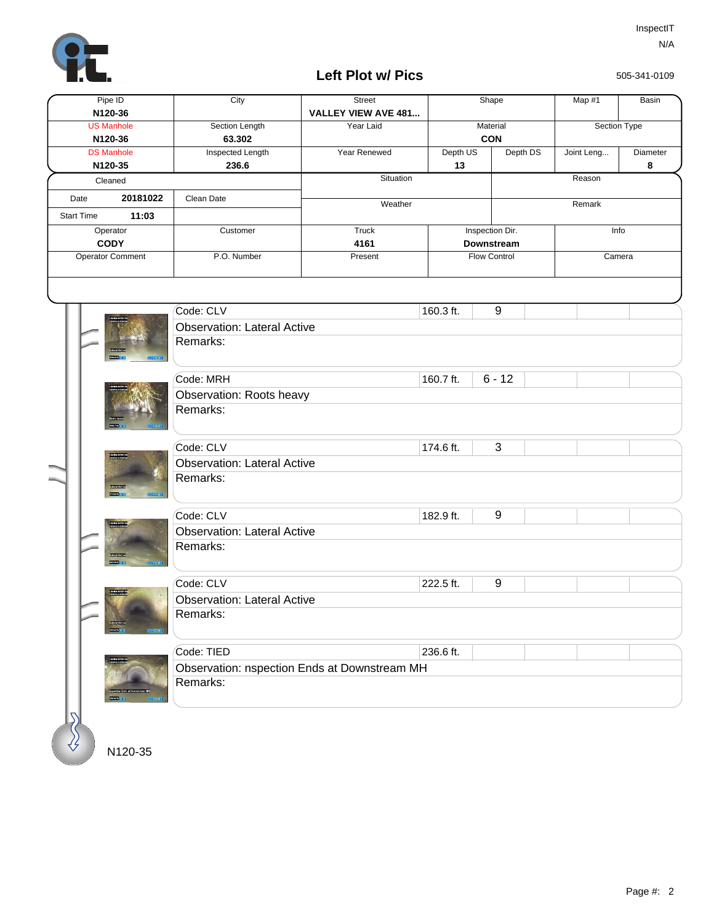

## **Left Plot w/ Pics**

505-341-0109

| Pipe ID<br>N120-36           |                   |                                      | City                                           | <b>Street</b><br><b>VALLEY VIEW AVE 481</b> | Shape                         |                        | Map #1   | Basin        |               |  |  |
|------------------------------|-------------------|--------------------------------------|------------------------------------------------|---------------------------------------------|-------------------------------|------------------------|----------|--------------|---------------|--|--|
| <b>US Manhole</b><br>N120-36 |                   |                                      | Section Length<br>63.302                       | Year Laid                                   |                               | Material<br><b>CON</b> |          | Section Type |               |  |  |
| <b>DS Manhole</b><br>N120-35 |                   |                                      | <b>Inspected Length</b><br>236.6               | Year Renewed                                | Depth US<br>13                |                        | Depth DS | Joint Leng   | Diameter<br>8 |  |  |
|                              |                   | Cleaned                              |                                                | Situation                                   |                               |                        |          | Reason       |               |  |  |
|                              | Date              | 20181022                             | Clean Date                                     | Weather                                     |                               |                        | Remark   |              |               |  |  |
|                              | <b>Start Time</b> | 11:03                                |                                                |                                             |                               |                        |          |              |               |  |  |
| Operator<br><b>CODY</b>      |                   |                                      | Customer                                       | Truck<br>4161                               | Inspection Dir.<br>Downstream |                        |          | Info         |               |  |  |
|                              |                   | Operator Comment                     | P.O. Number                                    | Present                                     | <b>Flow Control</b><br>Camera |                        |          |              |               |  |  |
|                              |                   |                                      |                                                |                                             |                               |                        |          |              |               |  |  |
|                              |                   |                                      | Code: CLV                                      |                                             | 160.3 ft.                     | 9                      |          |              |               |  |  |
|                              |                   |                                      | <b>Observation: Lateral Active</b>             |                                             |                               |                        |          |              |               |  |  |
|                              |                   |                                      | Remarks:                                       |                                             |                               |                        |          |              |               |  |  |
|                              |                   |                                      | Code: MRH                                      |                                             | 160.7 ft.                     | $6 - 12$               |          |              |               |  |  |
|                              |                   |                                      | Observation: Roots heavy                       |                                             |                               |                        |          |              |               |  |  |
|                              |                   |                                      | Remarks:                                       |                                             |                               |                        |          |              |               |  |  |
|                              |                   |                                      | Code: CLV                                      |                                             | 174.6 ft.                     | 3                      |          |              |               |  |  |
|                              |                   | <b>TANKLAN</b><br><b>DESCRIPTION</b> | <b>Observation: Lateral Active</b><br>Remarks: |                                             |                               |                        |          |              |               |  |  |
|                              |                   | <b>TERRITORY</b><br>taran,           | Code: CLV                                      |                                             | 182.9 ft.                     | 9                      |          |              |               |  |  |
|                              |                   |                                      | <b>Observation: Lateral Active</b>             |                                             |                               |                        |          |              |               |  |  |
|                              |                   |                                      | Remarks:                                       |                                             |                               |                        |          |              |               |  |  |
|                              |                   | <b>Compa</b><br><b>Service</b>       | Code: CLV                                      |                                             | 222.5 ft.                     | $\boldsymbol{9}$       |          |              |               |  |  |
|                              |                   |                                      | <b>Observation: Lateral Active</b>             |                                             |                               |                        |          |              |               |  |  |
|                              |                   |                                      | Remarks:                                       |                                             |                               |                        |          |              |               |  |  |
|                              |                   |                                      | Code: TIED                                     |                                             | 236.6 ft.                     |                        |          |              |               |  |  |
|                              |                   |                                      | Observation: nspection Ends at Downstream MH   |                                             |                               |                        |          |              |               |  |  |
|                              |                   | <b>STATISTICS</b>                    | Remarks:                                       |                                             |                               |                        |          |              |               |  |  |
|                              |                   |                                      |                                                |                                             |                               |                        |          |              |               |  |  |

N120-35

 $\sqrt[3]{2}$